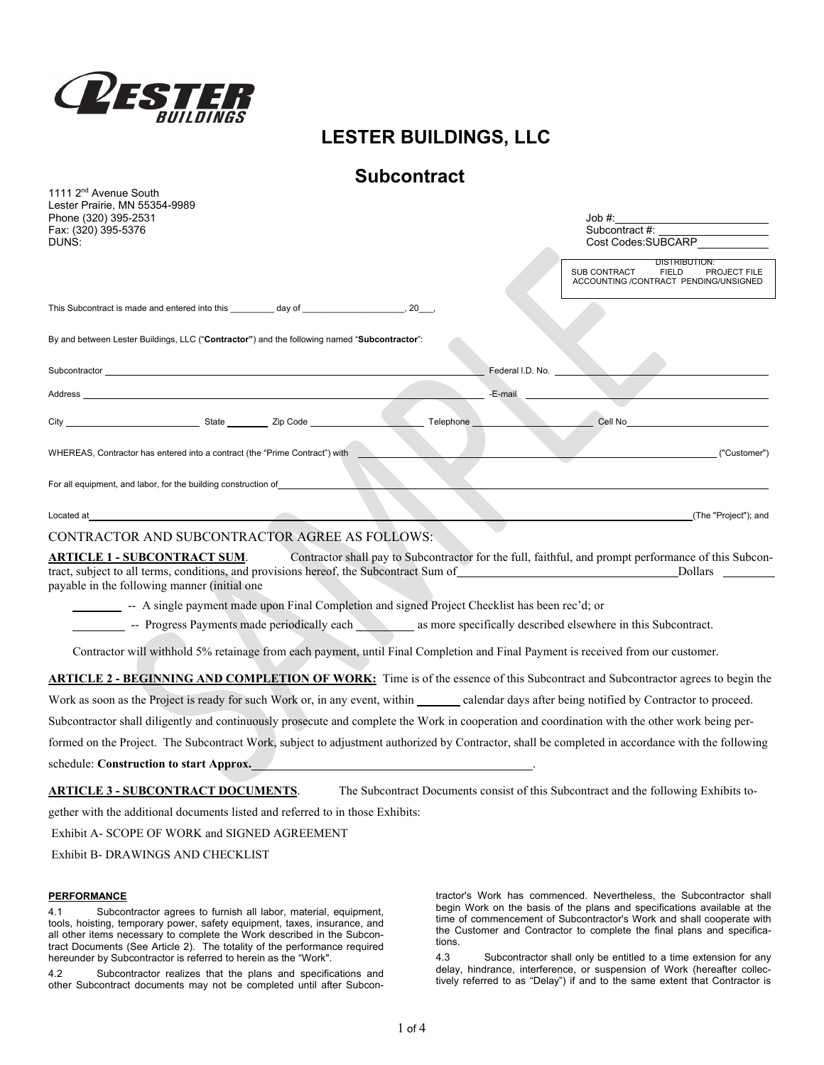

1111 2nd Avenue South

# **LESTER BUILDINGS, LLC**

# **Subcontract**

| $11112$ Avenue Ovuur<br>Lester Prairie, MN 55354-9989<br>Phone (320) 395-2531<br>Fax: (320) 395-5376<br>DUNS: | Job #:<br>Subcontract #:<br>Cost Codes:SUBCARP                                                                                                                                                 |
|---------------------------------------------------------------------------------------------------------------|------------------------------------------------------------------------------------------------------------------------------------------------------------------------------------------------|
|                                                                                                               | <b>DISTRIBUTION:</b><br>SUB CONTRACT<br>FIELD PROJECT FILE<br>ACCOUNTING /CONTRACT PENDING/UNSIGNED                                                                                            |
|                                                                                                               |                                                                                                                                                                                                |
| By and between Lester Buildings, LLC ("Contractor") and the following named "Subcontractor":                  |                                                                                                                                                                                                |
|                                                                                                               | Federal I.D. No. ____                                                                                                                                                                          |
| Address                                                                                                       | -E-mail                                                                                                                                                                                        |
| City City State Zip Code                                                                                      | Cell No. 2006<br>Telephone                                                                                                                                                                     |
| WHEREAS, Contractor has entered into a contract (the "Prime Contract") with                                   | ("Customer")                                                                                                                                                                                   |
| For all equipment, and labor, for the building construction of _________________                              |                                                                                                                                                                                                |
| Located at                                                                                                    | (The "Project"); and                                                                                                                                                                           |
| CONTRACTOR AND SUBCONTRACTOR AGREE AS FOLLOWS:                                                                |                                                                                                                                                                                                |
| ARTICLE 1 - SUBCONTRACT SUM.<br>payable in the following manner (initial one                                  | Contractor shall pay to Subcontractor for the full, faithful, and prompt performance of this Subcon-<br>tract, subject to all terms, conditions, and provisions hereof, the Subcontract Sum of |
| -- A single payment made upon Final Completion and signed Project Checklist has been rec'd; or                |                                                                                                                                                                                                |
|                                                                                                               | - Progress Payments made periodically each as more specifically described elsewhere in this Subcontract.                                                                                       |
|                                                                                                               | Contractor will withhold 5% retainage from each payment, until Final Completion and Final Payment is received from our customer.                                                               |
|                                                                                                               | <b>ARTICLE 2 - BEGINNING AND COMPLETION OF WORK:</b> Time is of the essence of this Subcontract and Subcontractor agrees to begin the                                                          |
|                                                                                                               | Work as soon as the Project is ready for such Work or, in any event, within calendar days after being notified by Contractor to proceed.                                                       |
|                                                                                                               | Subcontractor shall diligently and continuously prosecute and complete the Work in cooperation and coordination with the other work being per-                                                 |
|                                                                                                               | formed on the Project. The Subcontract Work, subject to adjustment authorized by Contractor, shall be completed in accordance with the following                                               |
| schedule: Construction to start Approx.                                                                       |                                                                                                                                                                                                |
| <u> ARTICLE 3 - SUBCONTRACT DOCUMENTS</u> .                                                                   | The Subcontract Documents consist of this Subcontract and the following Exhibits to-                                                                                                           |
| gether with the additional documents listed and referred to in those Exhibits:                                |                                                                                                                                                                                                |
| Exhibit A- SCOPE OF WORK and SIGNED AGREEMENT                                                                 |                                                                                                                                                                                                |

Exhibit B- DRAWINGS AND CHECKLIST

## **PERFORMANCE**

4.1 Subcontractor agrees to furnish all labor, material, equipment, tools, hoisting, temporary power, safety equipment, taxes, insurance, and all other items necessary to complete the Work described in the Subcontract Documents (See Article 2). The totality of the performance required hereunder by Subcontractor is referred to herein as the "Work".

4.2 Subcontractor realizes that the plans and specifications and other Subcontract documents may not be completed until after Subcon-

tractor's Work has commenced. Nevertheless, the Subcontractor shall begin Work on the basis of the plans and specifications available at the time of commencement of Subcontractor's Work and shall cooperate with the Customer and Contractor to complete the final plans and specifications.

4.3 Subcontractor shall only be entitled to a time extension for any delay, hindrance, interference, or suspension of Work (hereafter collectively referred to as "Delay") if and to the same extent that Contractor is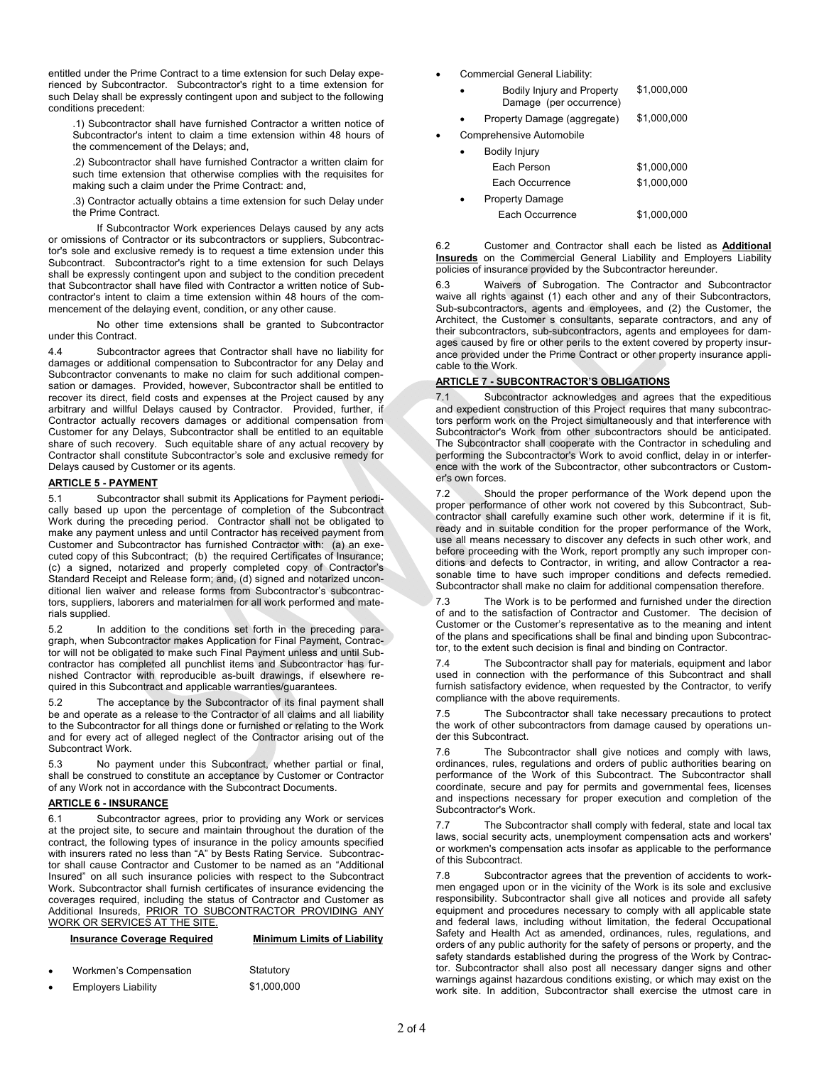entitled under the Prime Contract to a time extension for such Delay experienced by Subcontractor. Subcontractor's right to a time extension for such Delay shall be expressly contingent upon and subject to the following conditions precedent:

.1) Subcontractor shall have furnished Contractor a written notice of Subcontractor's intent to claim a time extension within 48 hours of the commencement of the Delays; and,

.2) Subcontractor shall have furnished Contractor a written claim for such time extension that otherwise complies with the requisites for making such a claim under the Prime Contract: and,

.3) Contractor actually obtains a time extension for such Delay under the Prime Contract.

 If Subcontractor Work experiences Delays caused by any acts or omissions of Contractor or its subcontractors or suppliers, Subcontractor's sole and exclusive remedy is to request a time extension under this Subcontract. Subcontractor's right to a time extension for such Delays shall be expressly contingent upon and subject to the condition precedent that Subcontractor shall have filed with Contractor a written notice of Subcontractor's intent to claim a time extension within 48 hours of the commencement of the delaying event, condition, or any other cause.

 No other time extensions shall be granted to Subcontractor under this Contract.

4.4 Subcontractor agrees that Contractor shall have no liability for damages or additional compensation to Subcontractor for any Delay and Subcontractor convenants to make no claim for such additional compensation or damages. Provided, however, Subcontractor shall be entitled to recover its direct, field costs and expenses at the Project caused by any arbitrary and willful Delays caused by Contractor. Provided, further, if Contractor actually recovers damages or additional compensation from Customer for any Delays, Subcontractor shall be entitled to an equitable share of such recovery. Such equitable share of any actual recovery by Contractor shall constitute Subcontractor's sole and exclusive remedy for Delays caused by Customer or its agents.

### **ARTICLE 5 - PAYMENT**

5.1 Subcontractor shall submit its Applications for Payment periodically based up upon the percentage of completion of the Subcontract Work during the preceding period. Contractor shall not be obligated to make any payment unless and until Contractor has received payment from Customer and Subcontractor has furnished Contractor with: (a) an executed copy of this Subcontract; (b) the required Certificates of Insurance; (c) a signed, notarized and properly completed copy of Contractor's Standard Receipt and Release form; and, (d) signed and notarized unconditional lien waiver and release forms from Subcontractor's subcontractors, suppliers, laborers and materialmen for all work performed and materials supplied.

5.2 In addition to the conditions set forth in the preceding paragraph, when Subcontractor makes Application for Final Payment, Contractor will not be obligated to make such Final Payment unless and until Subcontractor has completed all punchlist items and Subcontractor has furnished Contractor with reproducible as-built drawings, if elsewhere required in this Subcontract and applicable warranties/guarantees.

5.2 The acceptance by the Subcontractor of its final payment shall be and operate as a release to the Contractor of all claims and all liability to the Subcontractor for all things done or furnished or relating to the Work and for every act of alleged neglect of the Contractor arising out of the Subcontract Work.

No payment under this Subcontract, whether partial or final, shall be construed to constitute an acceptance by Customer or Contractor of any Work not in accordance with the Subcontract Documents.

## **ARTICLE 6 - INSURANCE**

6.1 Subcontractor agrees, prior to providing any Work or services at the project site, to secure and maintain throughout the duration of the contract, the following types of insurance in the policy amounts specified with insurers rated no less than "A" by Bests Rating Service. Subcontractor shall cause Contractor and Customer to be named as an "Additional Insured" on all such insurance policies with respect to the Subcontract Work. Subcontractor shall furnish certificates of insurance evidencing the coverages required, including the status of Contractor and Customer as Additional Insureds, **PRIOR TO SUBCONTRACTOR PROVIDING ANY** WORK OR SERVICES AT THE SITE.

| <b>Insurance Coverage Required</b> | <b>Minimum Limits of Liability</b> |
|------------------------------------|------------------------------------|
|                                    |                                    |

| $\bullet$ | Workmen's Compensation     | Statutory   |
|-----------|----------------------------|-------------|
| $\bullet$ | <b>Employers Liability</b> | \$1,000,000 |

- Commercial General Liability:
	- Bodily Injury and Property Damage (per occurrence) \$1,000,000 Property Damage (aggregate) \$1,000,000
	-
- Comprehensive Automobile

| ٠         | <b>Bodily Injury</b>   |             |
|-----------|------------------------|-------------|
|           | Each Person            | \$1,000,000 |
|           | Each Occurrence        | \$1.000.000 |
| $\bullet$ | <b>Property Damage</b> |             |
|           | Each Occurrence        | \$1,000,000 |

6.2 Customer and Contractor shall each be listed as **Additional Insureds** on the Commercial General Liability and Employers Liability policies of insurance provided by the Subcontractor hereunder.

6.3 Waivers of Subrogation. The Contractor and Subcontractor waive all rights against (1) each other and any of their Subcontractors, Sub-subcontractors, agents and employees, and (2) the Customer, the Architect, the Customer s consultants, separate contractors, and any of their subcontractors, sub-subcontractors, agents and employees for damages caused by fire or other perils to the extent covered by property insurance provided under the Prime Contract or other property insurance applicable to the Work.

## **ARTICLE 7 - SUBCONTRACTOR'S OBLIGATIONS**

7.1 Subcontractor acknowledges and agrees that the expeditious and expedient construction of this Project requires that many subcontractors perform work on the Project simultaneously and that interference with Subcontractor's Work from other subcontractors should be anticipated. The Subcontractor shall cooperate with the Contractor in scheduling and performing the Subcontractor's Work to avoid conflict, delay in or interference with the work of the Subcontractor, other subcontractors or Customer's own forces.

7.2 Should the proper performance of the Work depend upon the proper performance of other work not covered by this Subcontract, Subcontractor shall carefully examine such other work, determine if it is fit, ready and in suitable condition for the proper performance of the Work, use all means necessary to discover any defects in such other work, and before proceeding with the Work, report promptly any such improper conditions and defects to Contractor, in writing, and allow Contractor a reasonable time to have such improper conditions and defects remedied. Subcontractor shall make no claim for additional compensation therefore.

7.3 The Work is to be performed and furnished under the direction of and to the satisfaction of Contractor and Customer. The decision of Customer or the Customer's representative as to the meaning and intent of the plans and specifications shall be final and binding upon Subcontractor, to the extent such decision is final and binding on Contractor.

7.4 The Subcontractor shall pay for materials, equipment and labor used in connection with the performance of this Subcontract and shall furnish satisfactory evidence, when requested by the Contractor, to verify compliance with the above requirements.

7.5 The Subcontractor shall take necessary precautions to protect the work of other subcontractors from damage caused by operations under this Subcontract.

The Subcontractor shall give notices and comply with laws, ordinances, rules, regulations and orders of public authorities bearing on performance of the Work of this Subcontract. The Subcontractor shall coordinate, secure and pay for permits and governmental fees, licenses and inspections necessary for proper execution and completion of the Subcontractor's Work.

7.7 The Subcontractor shall comply with federal, state and local tax laws, social security acts, unemployment compensation acts and workers' or workmen's compensation acts insofar as applicable to the performance of this Subcontract.

7.8 Subcontractor agrees that the prevention of accidents to workmen engaged upon or in the vicinity of the Work is its sole and exclusive responsibility. Subcontractor shall give all notices and provide all safety equipment and procedures necessary to comply with all applicable state and federal laws, including without limitation, the federal Occupational Safety and Health Act as amended, ordinances, rules, regulations, and orders of any public authority for the safety of persons or property, and the safety standards established during the progress of the Work by Contractor. Subcontractor shall also post all necessary danger signs and other warnings against hazardous conditions existing, or which may exist on the work site. In addition, Subcontractor shall exercise the utmost care in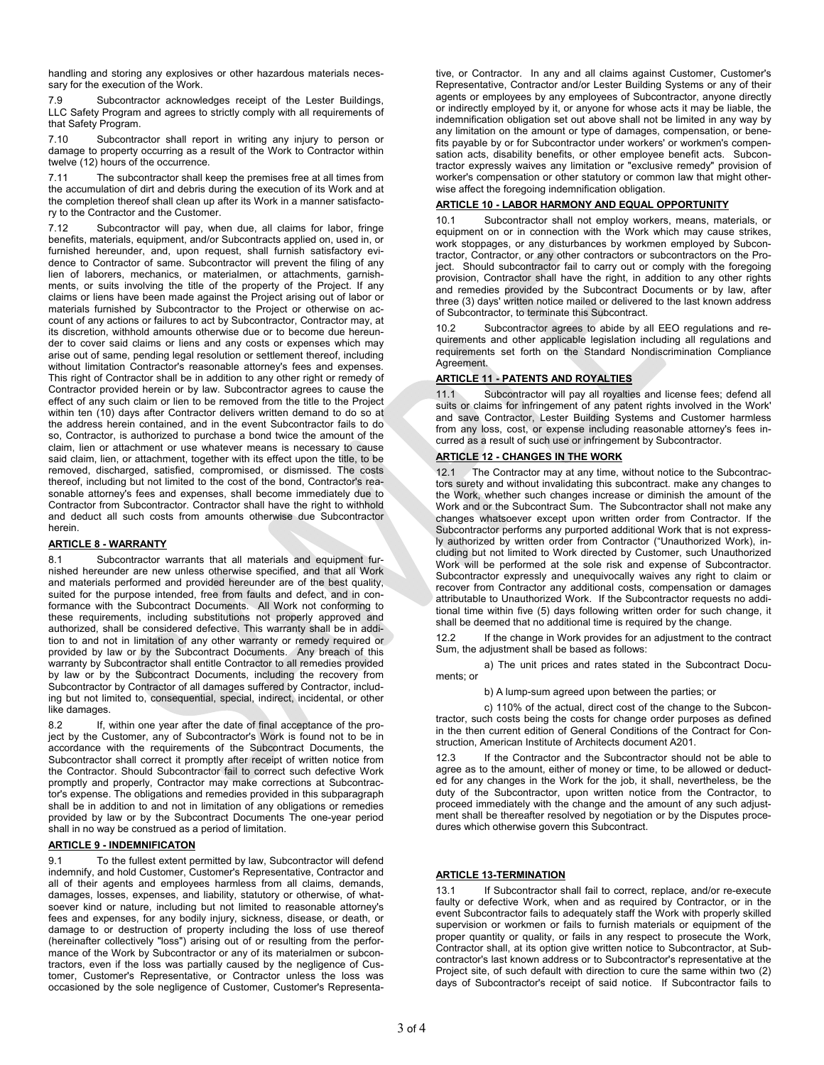handling and storing any explosives or other hazardous materials necessary for the execution of the Work.

7.9 Subcontractor acknowledges receipt of the Lester Buildings, LLC Safety Program and agrees to strictly comply with all requirements of that Safety Program.

7.10 Subcontractor shall report in writing any injury to person or damage to property occurring as a result of the Work to Contractor within twelve (12) hours of the occurrence.

7.11 The subcontractor shall keep the premises free at all times from the accumulation of dirt and debris during the execution of its Work and at the completion thereof shall clean up after its Work in a manner satisfactory to the Contractor and the Customer.

7.12 Subcontractor will pay, when due, all claims for labor, fringe benefits, materials, equipment, and/or Subcontracts applied on, used in, or furnished hereunder, and, upon request, shall furnish satisfactory evidence to Contractor of same. Subcontractor will prevent the filing of any lien of laborers, mechanics, or materialmen, or attachments, garnishments, or suits involving the title of the property of the Project. If any claims or liens have been made against the Project arising out of labor or materials furnished by Subcontractor to the Project or otherwise on account of any actions or failures to act by Subcontractor, Contractor may, at its discretion, withhold amounts otherwise due or to become due hereunder to cover said claims or liens and any costs or expenses which may arise out of same, pending legal resolution or settlement thereof, including without limitation Contractor's reasonable attorney's fees and expenses. This right of Contractor shall be in addition to any other right or remedy of Contractor provided herein or by law. Subcontractor agrees to cause the effect of any such claim or lien to be removed from the title to the Project within ten (10) days after Contractor delivers written demand to do so at the address herein contained, and in the event Subcontractor fails to do so, Contractor, is authorized to purchase a bond twice the amount of the claim, lien or attachment or use whatever means is necessary to cause said claim, lien, or attachment, together with its effect upon the title, to be removed, discharged, satisfied, compromised, or dismissed. The costs thereof, including but not limited to the cost of the bond, Contractor's reasonable attorney's fees and expenses, shall become immediately due to Contractor from Subcontractor. Contractor shall have the right to withhold and deduct all such costs from amounts otherwise due Subcontractor herein.

## **ARTICLE 8 - WARRANTY**

8.1 Subcontractor warrants that all materials and equipment furnished hereunder are new unless otherwise specified, and that all Work and materials performed and provided hereunder are of the best quality, suited for the purpose intended, free from faults and defect, and in conformance with the Subcontract Documents. All Work not conforming to these requirements, including substitutions not properly approved and authorized, shall be considered defective. This warranty shall be in addition to and not in limitation of any other warranty or remedy required or provided by law or by the Subcontract Documents. Any breach of this warranty by Subcontractor shall entitle Contractor to all remedies provided by law or by the Subcontract Documents, including the recovery from Subcontractor by Contractor of all damages suffered by Contractor, including but not limited to, consequential, special, indirect, incidental, or other like damages.

8.2 If, within one year after the date of final acceptance of the project by the Customer, any of Subcontractor's Work is found not to be in accordance with the requirements of the Subcontract Documents, the Subcontractor shall correct it promptly after receipt of written notice from the Contractor. Should Subcontractor fail to correct such defective Work promptly and properly, Contractor may make corrections at Subcontractor's expense. The obligations and remedies provided in this subparagraph shall be in addition to and not in limitation of any obligations or remedies provided by law or by the Subcontract Documents The one-year period shall in no way be construed as a period of limitation.

## **ARTICLE 9 - INDEMNIFICATON**

9.1 To the fullest extent permitted by law, Subcontractor will defend indemnify, and hold Customer, Customer's Representative, Contractor and all of their agents and employees harmless from all claims, demands, damages, losses, expenses, and liability, statutory or otherwise, of whatsoever kind or nature, including but not limited to reasonable attorney's fees and expenses, for any bodily injury, sickness, disease, or death, or damage to or destruction of property including the loss of use thereof (hereinafter collectively "loss") arising out of or resulting from the performance of the Work by Subcontractor or any of its materialmen or subcontractors, even if the loss was partially caused by the negligence of Customer, Customer's Representative, or Contractor unless the loss was occasioned by the sole negligence of Customer, Customer's Representative, or Contractor. In any and all claims against Customer, Customer's Representative, Contractor and/or Lester Building Systems or any of their agents or employees by any employees of Subcontractor, anyone directly or indirectly employed by it, or anyone for whose acts it may be liable, the indemnification obligation set out above shall not be limited in any way by any limitation on the amount or type of damages, compensation, or benefits payable by or for Subcontractor under workers' or workmen's compensation acts, disability benefits, or other employee benefit acts. Subcontractor expressly waives any limitation or "exclusive remedy" provision of worker's compensation or other statutory or common law that might otherwise affect the foregoing indemnification obligation.

#### **ARTICLE 10 - LABOR HARMONY AND EQUAL OPPORTUNITY**

10.1 Subcontractor shall not employ workers, means, materials, or equipment on or in connection with the Work which may cause strikes, work stoppages, or any disturbances by workmen employed by Subcontractor, Contractor, or any other contractors or subcontractors on the Project. Should subcontractor fail to carry out or comply with the foregoing provision, Contractor shall have the right, in addition to any other rights and remedies provided by the Subcontract Documents or by law, after three (3) days' written notice mailed or delivered to the last known address of Subcontractor, to terminate this Subcontract.

10.2 Subcontractor agrees to abide by all EEO regulations and requirements and other applicable legislation including all regulations and requirements set forth on the Standard Nondiscrimination Compliance Agreement.

#### **ARTICLE 11 - PATENTS AND ROYALTIES**

11.1 Subcontractor will pay all royalties and license fees; defend all suits or claims for infringement of any patent rights involved in the Work' and save Contractor, Lester Building Systems and Customer harmless from any loss, cost, or expense including reasonable attorney's fees incurred as a result of such use or infringement by Subcontractor.

#### **ARTICLE 12 - CHANGES IN THE WORK**

12.1 The Contractor may at any time, without notice to the Subcontractors surety and without invalidating this subcontract. make any changes to the Work, whether such changes increase or diminish the amount of the Work and or the Subcontract Sum. The Subcontractor shall not make any changes whatsoever except upon written order from Contractor. If the Subcontractor performs any purported additional Work that is not expressly authorized by written order from Contractor ("Unauthorized Work), including but not limited to Work directed by Customer, such Unauthorized Work will be performed at the sole risk and expense of Subcontractor. Subcontractor expressly and unequivocally waives any right to claim or recover from Contractor any additional costs, compensation or damages attributable to Unauthorized Work. If the Subcontractor requests no additional time within five (5) days following written order for such change, it shall be deemed that no additional time is required by the change.

12.2 If the change in Work provides for an adjustment to the contract Sum, the adjustment shall be based as follows:

 a) The unit prices and rates stated in the Subcontract Documents; or

b) A lump-sum agreed upon between the parties; or

c) 110% of the actual, direct cost of the change to the Subcon-

tractor, such costs being the costs for change order purposes as defined in the then current edition of General Conditions of the Contract for Construction, American Institute of Architects document A201.

12.3 If the Contractor and the Subcontractor should not be able to agree as to the amount, either of money or time, to be allowed or deducted for any changes in the Work for the job, it shall, nevertheless, be the duty of the Subcontractor, upon written notice from the Contractor, to proceed immediately with the change and the amount of any such adjustment shall be thereafter resolved by negotiation or by the Disputes procedures which otherwise govern this Subcontract.

#### **ARTICLE 13-TERMINATION**

13.1 If Subcontractor shall fail to correct, replace, and/or re-execute faulty or defective Work, when and as required by Contractor, or in the event Subcontractor fails to adequately staff the Work with properly skilled supervision or workmen or fails to furnish materials or equipment of the proper quantity or quality, or fails in any respect to prosecute the Work, Contractor shall, at its option give written notice to Subcontractor, at Subcontractor's last known address or to Subcontractor's representative at the Project site, of such default with direction to cure the same within two (2) days of Subcontractor's receipt of said notice. If Subcontractor fails to